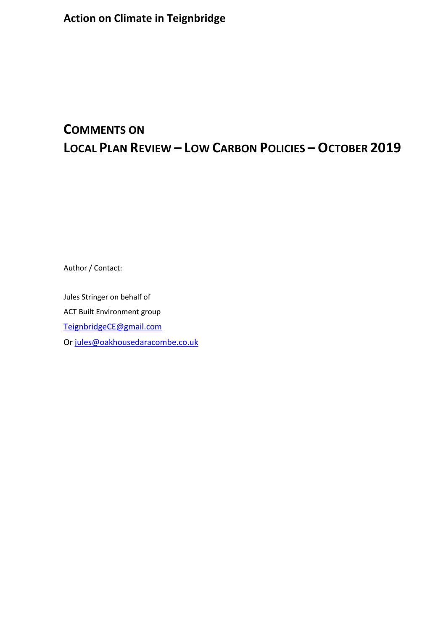# **COMMENTS ON LOCAL PLAN REVIEW – LOW CARBON POLICIES – OCTOBER 2019**

Author / Contact:

Jules Stringer on behalf of ACT Built Environment group [TeignbridgeCE@gmail.com](mailto:TeignbridgeCE@gmail.com) Or [jules@oakhousedaracombe.co.uk](mailto:jules@oakhousedaracombe.co.uk)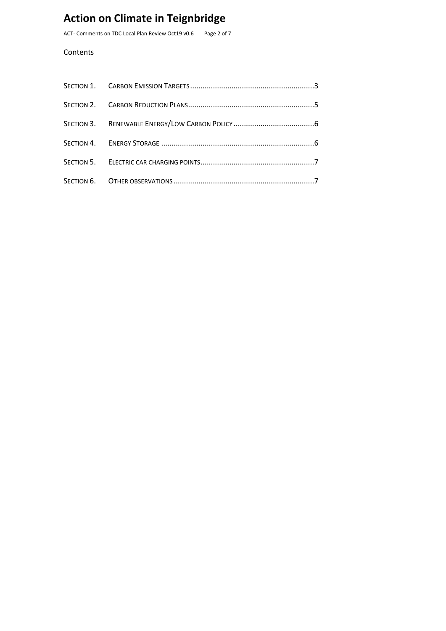ACT- Comments on TDC Local Plan Review Oct19 v0.6 Page 2 of 7

#### Contents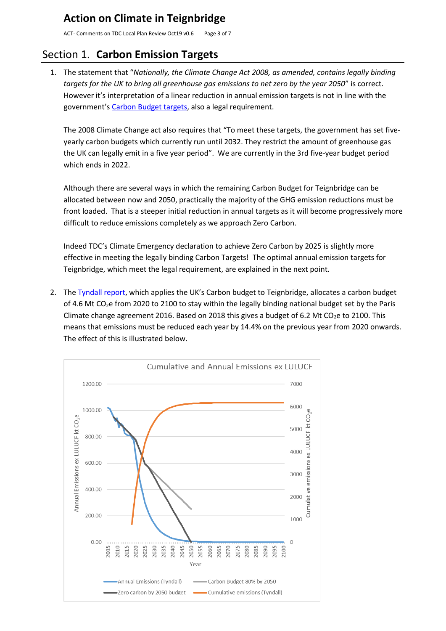ACT- Comments on TDC Local Plan Review Oct19 v0.6 Page 3 of 7

# <span id="page-2-0"></span>Section 1. **Carbon Emission Targets**

1. The statement that "*Nationally, the Climate Change Act 2008, as amended, contains legally binding targets for the UK to bring all greenhouse gas emissions to net zero by the year 2050*" is correct. However it's interpretation of a linear reduction in annual emission targets is not in line with the government's [Carbon Budget targets,](https://www.theccc.org.uk/tackling-climate-change/reducing-carbon-emissions/carbon-budgets-and-targets/) also a legal requirement.

The 2008 Climate Change act also requires that "To meet these targets, the government has set fiveyearly carbon budgets which currently run until 2032. They restrict the amount of greenhouse gas the UK can legally emit in a five year period". We are currently in the 3rd five-year budget period which ends in 2022.

Although there are several ways in which the remaining Carbon Budget for Teignbridge can be allocated between now and 2050, practically the majority of the GHG emission reductions must be front loaded. That is a steeper initial reduction in annual targets as it will become progressively more difficult to reduce emissions completely as we approach Zero Carbon.

Indeed TDC's Climate Emergency declaration to achieve Zero Carbon by 2025 is slightly more effective in meeting the legally binding Carbon Targets! The optimal annual emission targets for Teignbridge, which meet the legal requirement, are explained in the next point.

2. The [Tyndall report](https://carbonbudget.manchester.ac.uk/reports/E07000045/print/#fn3), which applies the UK's Carbon budget to Teignbridge, allocates a carbon budget of 4.6 Mt CO<sub>2</sub>e from 2020 to 2100 to stay within the legally binding national budget set by the Paris Climate change agreement 2016. Based on 2018 this gives a budget of 6.2 Mt CO<sub>2</sub>e to 2100. This means that emissions must be reduced each year by 14.4% on the previous year from 2020 onwards. The effect of this is illustrated below.

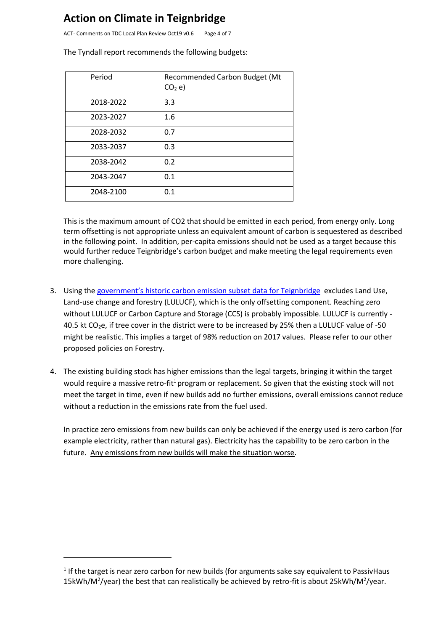ACT- Comments on TDC Local Plan Review Oct19 v0.6 Page 4 of 7

Period | Recommended Carbon Budget (Mt  $CO<sub>2</sub>$  e) 2018-2022 3.3 2023-2027 1.6 2028-2032 0.7 2033-2037 0.3 2038-2042 0.2 2043-2047 0.1 2048-2100 0.1

The Tyndall report recommends the following budgets:

This is the maximum amount of CO2 that should be emitted in each period, from energy only. Long term offsetting is not appropriate unless an equivalent amount of carbon is sequestered as described in the following point. In addition, per-capita emissions should not be used as a target because this would further reduce Teignbridge's carbon budget and make meeting the legal requirements even more challenging.

- 3. Using the [government's historic carbon emission subset data for Teignbridge](https://www.gov.uk/government/statistics/uk-local-authority-and-regional-carbon-dioxide-emissions-national-statistics-2005-to-2017) excludes Land Use, Land-use change and forestry (LULUCF), which is the only offsetting component. Reaching zero without LULUCF or Carbon Capture and Storage (CCS) is probably impossible. LULUCF is currently - 40.5 kt CO<sub>2</sub>e, if tree cover in the district were to be increased by 25% then a LULUCF value of -50 might be realistic. This implies a target of 98% reduction on 2017 values. Please refer to our other proposed policies on Forestry.
- 4. The existing building stock has higher emissions than the legal targets, bringing it within the target would require a massive retro-fit<sup>1</sup> program or replacement. So given that the existing stock will not meet the target in time, even if new builds add no further emissions, overall emissions cannot reduce without a reduction in the emissions rate from the fuel used.

In practice zero emissions from new builds can only be achieved if the energy used is zero carbon (for example electricity, rather than natural gas). Electricity has the capability to be zero carbon in the future. Any emissions from new builds will make the situation worse.

<sup>&</sup>lt;sup>1</sup> If the target is near zero carbon for new builds (for arguments sake say equivalent to PassivHaus 15kWh/M<sup>2</sup>/year) the best that can realistically be achieved by retro-fit is about 25kWh/M<sup>2</sup>/year.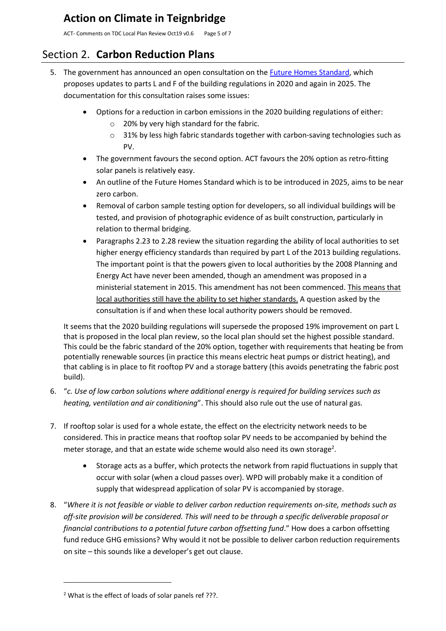ACT- Comments on TDC Local Plan Review Oct19 v0.6 Page 5 of 7

#### <span id="page-4-0"></span>Section 2. **Carbon Reduction Plans**

- 5. The government has announced an open consultation on the [Future Homes Standard,](https://www.gov.uk/government/consultations/the-future-homes-standard-changes-to-part-l-and-part-f-of-the-building-regulations-for-new-dwellings?utm_campaign=ZEBCat&utm_source=hs_email&utm_medium=email&utm_content=77618155&_hsenc=p2ANqtz-89OiafhiO8saRVs6-lgWyS2Z4D3LH7dJwO8GpakehhN4mUpI_LaNNICvcRxjNi25hRUtRT8FjEgvfZ8vB2XpYbyAw78Sh6pOH-LEtS2c1atf4Xqbk&_hsmi=77618155) which proposes updates to parts L and F of the building regulations in 2020 and again in 2025. The documentation for this consultation raises some issues:
	- Options for a reduction in carbon emissions in the 2020 building regulations of either:
		- o 20% by very high standard for the fabric.
		- $\circ$  31% by less high fabric standards together with carbon-saving technologies such as PV.
	- The government favours the second option. ACT favours the 20% option as retro-fitting solar panels is relatively easy.
	- An outline of the Future Homes Standard which is to be introduced in 2025, aims to be near zero carbon.
	- Removal of carbon sample testing option for developers, so all individual buildings will be tested, and provision of photographic evidence of as built construction, particularly in relation to thermal bridging.
	- Paragraphs 2.23 to 2.28 review the situation regarding the ability of local authorities to set higher energy efficiency standards than required by part L of the 2013 building regulations. The important point is that the powers given to local authorities by the 2008 Planning and Energy Act have never been amended, though an amendment was proposed in a ministerial statement in 2015. This amendment has not been commenced. This means that local authorities still have the ability to set higher standards. A question asked by the consultation is if and when these local authority powers should be removed.

It seems that the 2020 building regulations will supersede the proposed 19% improvement on part L that is proposed in the local plan review, so the local plan should set the highest possible standard. This could be the fabric standard of the 20% option, together with requirements that heating be from potentially renewable sources (in practice this means electric heat pumps or district heating), and that cabling is in place to fit rooftop PV and a storage battery (this avoids penetrating the fabric post build).

- 6. "*c. Use of low carbon solutions where additional energy is required for building services such as heating, ventilation and air conditioning*". This should also rule out the use of natural gas.
- 7. If rooftop solar is used for a whole estate, the effect on the electricity network needs to be considered. This in practice means that rooftop solar PV needs to be accompanied by behind the meter storage, and that an estate wide scheme would also need its own storage<sup>2</sup>.
	- Storage acts as a buffer, which protects the network from rapid fluctuations in supply that occur with solar (when a cloud passes over). WPD will probably make it a condition of supply that widespread application of solar PV is accompanied by storage.
- 8. "*Where it is not feasible or viable to deliver carbon reduction requirements on-site, methods such as off-site provision will be considered. This will need to be through a specific deliverable proposal or financial contributions to a potential future carbon offsetting fund*." How does a carbon offsetting fund reduce GHG emissions? Why would it not be possible to deliver carbon reduction requirements on site – this sounds like a developer's get out clause.

<sup>&</sup>lt;sup>2</sup> What is the effect of loads of solar panels ref ???.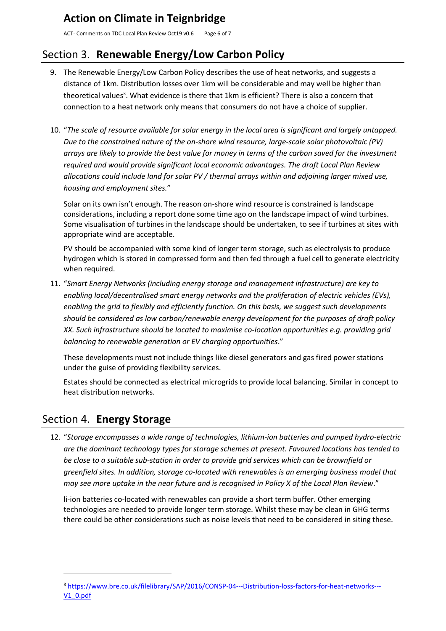ACT- Comments on TDC Local Plan Review Oct19 v0.6 Page 6 of 7

# <span id="page-5-0"></span>Section 3. **Renewable Energy/Low Carbon Policy**

- 9. The Renewable Energy/Low Carbon Policy describes the use of heat networks, and suggests a distance of 1km. Distribution losses over 1km will be considerable and may well be higher than theoretical values<sup>3</sup>. What evidence is there that 1km is efficient? There is also a concern that connection to a heat network only means that consumers do not have a choice of supplier.
- 10. "*The scale of resource available for solar energy in the local area is significant and largely untapped. Due to the constrained nature of the on-shore wind resource, large-scale solar photovoltaic (PV) arrays are likely to provide the best value for money in terms of the carbon saved for the investment required and would provide significant local economic advantages. The draft Local Plan Review allocations could include land for solar PV / thermal arrays within and adjoining larger mixed use, housing and employment sites.*"

Solar on its own isn't enough. The reason on-shore wind resource is constrained is landscape considerations, including a report done some time ago on the landscape impact of wind turbines. Some visualisation of turbines in the landscape should be undertaken, to see if turbines at sites with appropriate wind are acceptable.

PV should be accompanied with some kind of longer term storage, such as electrolysis to produce hydrogen which is stored in compressed form and then fed through a fuel cell to generate electricity when required.

11. "*Smart Energy Networks (including energy storage and management infrastructure) are key to enabling local/decentralised smart energy networks and the proliferation of electric vehicles (EVs), enabling the grid to flexibly and efficiently function. On this basis, we suggest such developments should be considered as low carbon/renewable energy development for the purposes of draft policy XX. Such infrastructure should be located to maximise co-location opportunities e.g. providing grid balancing to renewable generation or EV charging opportunities*."

These developments must not include things like diesel generators and gas fired power stations under the guise of providing flexibility services.

Estates should be connected as electrical microgrids to provide local balancing. Similar in concept to heat distribution networks.

# <span id="page-5-1"></span>Section 4. **Energy Storage**

12. "*Storage encompasses a wide range of technologies, lithium-ion batteries and pumped hydro-electric are the dominant technology types for storage schemes at present. Favoured locations has tended to be close to a suitable sub-station in order to provide grid services which can be brownfield or greenfield sites. In addition, storage co-located with renewables is an emerging business model that may see more uptake in the near future and is recognised in Policy X of the Local Plan Review*."

li-ion batteries co-located with renewables can provide a short term buffer. Other emerging technologies are needed to provide longer term storage. Whilst these may be clean in GHG terms there could be other considerations such as noise levels that need to be considered in siting these.

<sup>3</sup> [https://www.bre.co.uk/filelibrary/SAP/2016/CONSP-04---Distribution-loss-factors-for-heat-networks---](https://www.bre.co.uk/filelibrary/SAP/2016/CONSP-04---Distribution-loss-factors-for-heat-networks---V1_0.pdf) [V1\\_0.pdf](https://www.bre.co.uk/filelibrary/SAP/2016/CONSP-04---Distribution-loss-factors-for-heat-networks---V1_0.pdf)